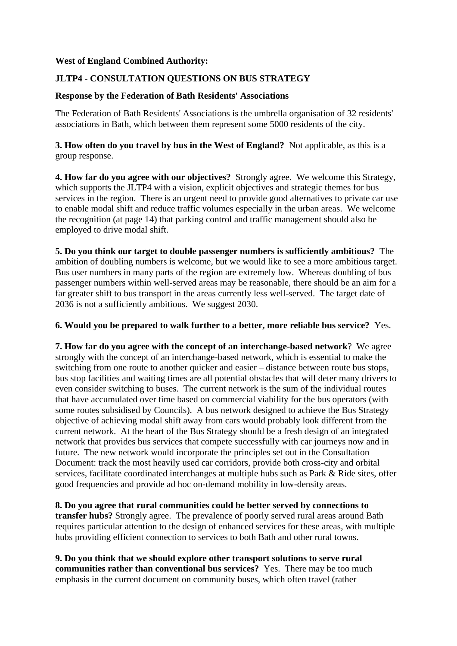## **West of England Combined Authority:**

# **JLTP4 - CONSULTATION QUESTIONS ON BUS STRATEGY**

### **Response by the Federation of Bath Residents' Associations**

The Federation of Bath Residents' Associations is the umbrella organisation of 32 residents' associations in Bath, which between them represent some 5000 residents of the city.

## **3. How often do you travel by bus in the West of England?** Not applicable, as this is a group response.

**4. How far do you agree with our objectives?** Strongly agree. We welcome this Strategy, which supports the JLTP4 with a vision, explicit objectives and strategic themes for bus services in the region. There is an urgent need to provide good alternatives to private car use to enable modal shift and reduce traffic volumes especially in the urban areas. We welcome the recognition (at page 14) that parking control and traffic management should also be employed to drive modal shift.

**5. Do you think our target to double passenger numbers is sufficiently ambitious?** The ambition of doubling numbers is welcome, but we would like to see a more ambitious target. Bus user numbers in many parts of the region are extremely low. Whereas doubling of bus passenger numbers within well-served areas may be reasonable, there should be an aim for a far greater shift to bus transport in the areas currently less well-served. The target date of 2036 is not a sufficiently ambitious. We suggest 2030.

### **6. Would you be prepared to walk further to a better, more reliable bus service?** Yes.

**7. How far do you agree with the concept of an interchange-based network**? We agree strongly with the concept of an interchange-based network, which is essential to make the switching from one route to another quicker and easier – distance between route bus stops, bus stop facilities and waiting times are all potential obstacles that will deter many drivers to even consider switching to buses. The current network is the sum of the individual routes that have accumulated over time based on commercial viability for the bus operators (with some routes subsidised by Councils). A bus network designed to achieve the Bus Strategy objective of achieving modal shift away from cars would probably look different from the current network. At the heart of the Bus Strategy should be a fresh design of an integrated network that provides bus services that compete successfully with car journeys now and in future. The new network would incorporate the principles set out in the Consultation Document: track the most heavily used car corridors, provide both cross-city and orbital services, facilitate coordinated interchanges at multiple hubs such as Park & Ride sites, offer good frequencies and provide ad hoc on-demand mobility in low-density areas.

**8. Do you agree that rural communities could be better served by connections to transfer hubs?** Strongly agree. The prevalence of poorly served rural areas around Bath requires particular attention to the design of enhanced services for these areas, with multiple hubs providing efficient connection to services to both Bath and other rural towns.

**9. Do you think that we should explore other transport solutions to serve rural communities rather than conventional bus services?** Yes. There may be too much emphasis in the current document on community buses, which often travel (rather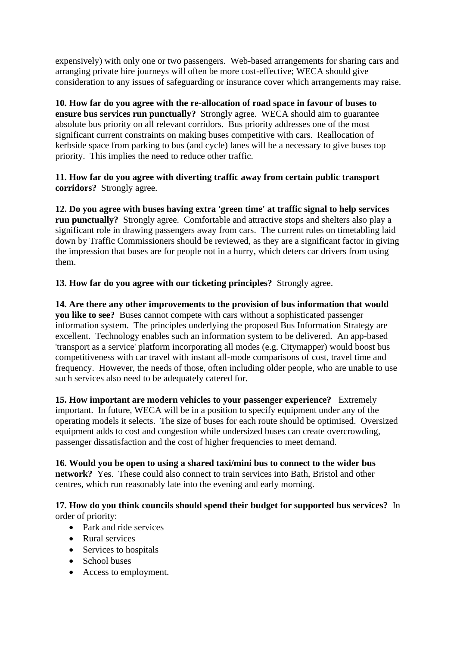expensively) with only one or two passengers. Web-based arrangements for sharing cars and arranging private hire journeys will often be more cost-effective; WECA should give consideration to any issues of safeguarding or insurance cover which arrangements may raise.

**10. How far do you agree with the re-allocation of road space in favour of buses to ensure bus services run punctually?** Strongly agree. WECA should aim to guarantee absolute bus priority on all relevant corridors. Bus priority addresses one of the most significant current constraints on making buses competitive with cars. Reallocation of kerbside space from parking to bus (and cycle) lanes will be a necessary to give buses top priority. This implies the need to reduce other traffic.

**11. How far do you agree with diverting traffic away from certain public transport corridors?** Strongly agree.

**12. Do you agree with buses having extra 'green time' at traffic signal to help services run punctually?** Strongly agree. Comfortable and attractive stops and shelters also play a significant role in drawing passengers away from cars. The current rules on timetabling laid down by Traffic Commissioners should be reviewed, as they are a significant factor in giving the impression that buses are for people not in a hurry, which deters car drivers from using them.

**13. How far do you agree with our ticketing principles?** Strongly agree.

**14. Are there any other improvements to the provision of bus information that would you like to see?** Buses cannot compete with cars without a sophisticated passenger information system. The principles underlying the proposed Bus Information Strategy are excellent. Technology enables such an information system to be delivered. An app-based 'transport as a service' platform incorporating all modes (e.g. Citymapper) would boost bus competitiveness with car travel with instant all-mode comparisons of cost, travel time and frequency. However, the needs of those, often including older people, who are unable to use such services also need to be adequately catered for.

**15. How important are modern vehicles to your passenger experience?** Extremely important. In future, WECA will be in a position to specify equipment under any of the operating models it selects. The size of buses for each route should be optimised. Oversized equipment adds to cost and congestion while undersized buses can create overcrowding, passenger dissatisfaction and the cost of higher frequencies to meet demand.

**16. Would you be open to using a shared taxi/mini bus to connect to the wider bus network?** Yes. These could also connect to train services into Bath, Bristol and other centres, which run reasonably late into the evening and early morning.

**17. How do you think councils should spend their budget for supported bus services?** In order of priority:

- Park and ride services
- Rural services
- Services to hospitals
- School buses
- Access to employment.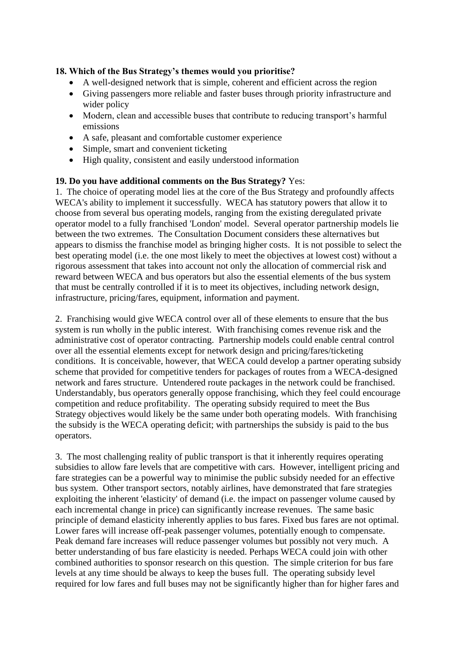# **18. Which of the Bus Strategy's themes would you prioritise?**

- A well-designed network that is simple, coherent and efficient across the region
- Giving passengers more reliable and faster buses through priority infrastructure and wider policy
- Modern, clean and accessible buses that contribute to reducing transport's harmful emissions
- A safe, pleasant and comfortable customer experience
- Simple, smart and convenient ticketing
- High quality, consistent and easily understood information

#### **19. Do you have additional comments on the Bus Strategy?** Yes:

1. The choice of operating model lies at the core of the Bus Strategy and profoundly affects WECA's ability to implement it successfully. WECA has statutory powers that allow it to choose from several bus operating models, ranging from the existing deregulated private operator model to a fully franchised 'London' model. Several operator partnership models lie between the two extremes. The Consultation Document considers these alternatives but appears to dismiss the franchise model as bringing higher costs. It is not possible to select the best operating model (i.e. the one most likely to meet the objectives at lowest cost) without a rigorous assessment that takes into account not only the allocation of commercial risk and reward between WECA and bus operators but also the essential elements of the bus system that must be centrally controlled if it is to meet its objectives, including network design, infrastructure, pricing/fares, equipment, information and payment.

2. Franchising would give WECA control over all of these elements to ensure that the bus system is run wholly in the public interest. With franchising comes revenue risk and the administrative cost of operator contracting. Partnership models could enable central control over all the essential elements except for network design and pricing/fares/ticketing conditions. It is conceivable, however, that WECA could develop a partner operating subsidy scheme that provided for competitive tenders for packages of routes from a WECA-designed network and fares structure. Untendered route packages in the network could be franchised. Understandably, bus operators generally oppose franchising, which they feel could encourage competition and reduce profitability. The operating subsidy required to meet the Bus Strategy objectives would likely be the same under both operating models. With franchising the subsidy is the WECA operating deficit; with partnerships the subsidy is paid to the bus operators.

3. The most challenging reality of public transport is that it inherently requires operating subsidies to allow fare levels that are competitive with cars. However, intelligent pricing and fare strategies can be a powerful way to minimise the public subsidy needed for an effective bus system. Other transport sectors, notably airlines, have demonstrated that fare strategies exploiting the inherent 'elasticity' of demand (i.e. the impact on passenger volume caused by each incremental change in price) can significantly increase revenues. The same basic principle of demand elasticity inherently applies to bus fares. Fixed bus fares are not optimal. Lower fares will increase off-peak passenger volumes, potentially enough to compensate. Peak demand fare increases will reduce passenger volumes but possibly not very much. A better understanding of bus fare elasticity is needed. Perhaps WECA could join with other combined authorities to sponsor research on this question. The simple criterion for bus fare levels at any time should be always to keep the buses full. The operating subsidy level required for low fares and full buses may not be significantly higher than for higher fares and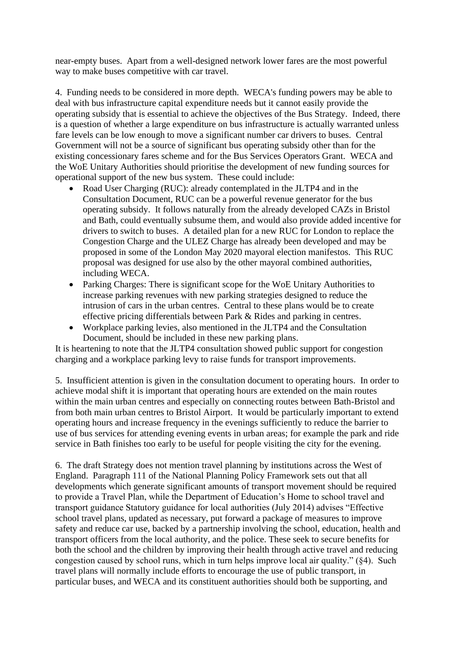near-empty buses. Apart from a well-designed network lower fares are the most powerful way to make buses competitive with car travel.

4. Funding needs to be considered in more depth. WECA's funding powers may be able to deal with bus infrastructure capital expenditure needs but it cannot easily provide the operating subsidy that is essential to achieve the objectives of the Bus Strategy. Indeed, there is a question of whether a large expenditure on bus infrastructure is actually warranted unless fare levels can be low enough to move a significant number car drivers to buses. Central Government will not be a source of significant bus operating subsidy other than for the existing concessionary fares scheme and for the Bus Services Operators Grant. WECA and the WoE Unitary Authorities should prioritise the development of new funding sources for operational support of the new bus system. These could include:

- Road User Charging (RUC): already contemplated in the JLTP4 and in the Consultation Document, RUC can be a powerful revenue generator for the bus operating subsidy. It follows naturally from the already developed CAZs in Bristol and Bath, could eventually subsume them, and would also provide added incentive for drivers to switch to buses. A detailed plan for a new RUC for London to replace the Congestion Charge and the ULEZ Charge has already been developed and may be proposed in some of the London May 2020 mayoral election manifestos. This RUC proposal was designed for use also by the other mayoral combined authorities, including WECA.
- Parking Charges: There is significant scope for the WoE Unitary Authorities to increase parking revenues with new parking strategies designed to reduce the intrusion of cars in the urban centres. Central to these plans would be to create effective pricing differentials between Park & Rides and parking in centres.
- Workplace parking levies, also mentioned in the JLTP4 and the Consultation Document, should be included in these new parking plans.

It is heartening to note that the JLTP4 consultation showed public support for congestion charging and a workplace parking levy to raise funds for transport improvements.

5. Insufficient attention is given in the consultation document to operating hours. In order to achieve modal shift it is important that operating hours are extended on the main routes within the main urban centres and especially on connecting routes between Bath-Bristol and from both main urban centres to Bristol Airport. It would be particularly important to extend operating hours and increase frequency in the evenings sufficiently to reduce the barrier to use of bus services for attending evening events in urban areas; for example the park and ride service in Bath finishes too early to be useful for people visiting the city for the evening.

6. The draft Strategy does not mention travel planning by institutions across the West of England. Paragraph 111 of the National Planning Policy Framework sets out that all developments which generate significant amounts of transport movement should be required to provide a Travel Plan, while the Department of Education's Home to school travel and transport guidance Statutory guidance for local authorities (July 2014) advises "Effective school travel plans, updated as necessary, put forward a package of measures to improve safety and reduce car use, backed by a partnership involving the school, education, health and transport officers from the local authority, and the police. These seek to secure benefits for both the school and the children by improving their health through active travel and reducing congestion caused by school runs, which in turn helps improve local air quality." (§4). Such travel plans will normally include efforts to encourage the use of public transport, in particular buses, and WECA and its constituent authorities should both be supporting, and